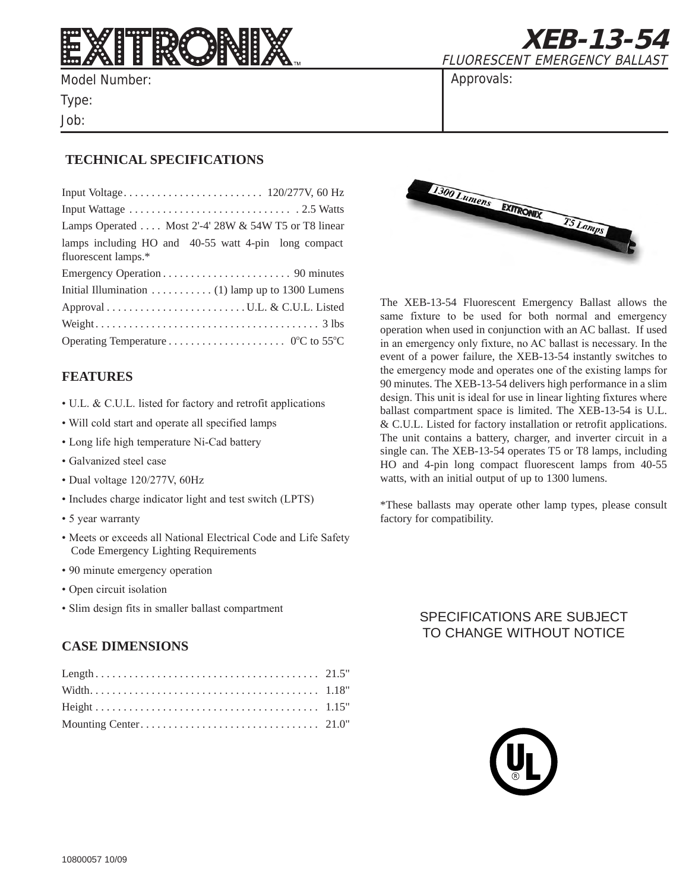

Model Number: Type:

Job:

**XEB-13-54** FLUORESCENT EMERGENCY BALLAST

Approvals:

## **Technical Specifications**

| Lamps Operated  Most 2'-4' 28W & 54W T5 or T8 linear                        |
|-----------------------------------------------------------------------------|
| lamps including HO and 40-55 watt 4-pin long compact<br>fluorescent lamps.* |
|                                                                             |
| Initial Illumination (1) lamp up to 1300 Lumens                             |
|                                                                             |
|                                                                             |
|                                                                             |

### **features**

- U.L. & C.U.L. listed for factory and retrofit applications
- Will cold start and operate all specified lamps
- Long life high temperature Ni-Cad battery
- Galvanized steel case
- Dual voltage 120/277V, 60Hz
- Includes charge indicator light and test switch (LPTS)
- 5 year warranty
- Meets or exceeds all National Electrical Code and Life Safety Code Emergency Lighting Requirements
- 90 minute emergency operation
- Open circuit isolation
- Slim design fits in smaller ballast compartment

### **case dimensions**



The XEB-13-54 Fluorescent Emergency Ballast allows the same fixture to be used for both normal and emergency operation when used in conjunction with an AC ballast. If used in an emergency only fixture, no AC ballast is necessary. In the event of a power failure, the XEB-13-54 instantly switches to the emergency mode and operates one of the existing lamps for 90 minutes. The XEB-13-54 delivers high performance in a slim design. This unit is ideal for use in linear lighting fixtures where ballast compartment space is limited. The XEB-13-54 is U.L. & C.U.L. Listed for factory installation or retrofit applications. The unit contains a battery, charger, and inverter circuit in a single can. The XEB-13-54 operates T5 or T8 lamps, including HO and 4-pin long compact fluorescent lamps from 40-55 watts, with an initial output of up to 1300 lumens.

\*These ballasts may operate other lamp types, please consult factory for compatibility.

# SPECIFICATIONS ARE SUBJECT TO CHANGE WITHOUT NOTICE